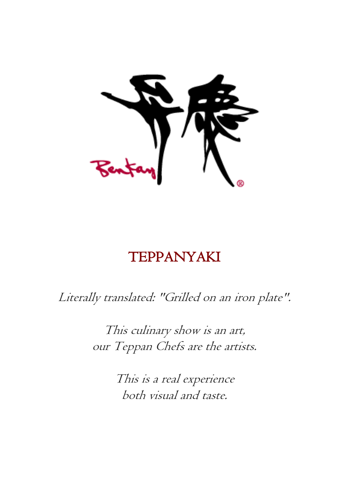

# TEPPANYAKI

Literally translated: "Grilled on an iron plate".

This culinary show is an art, our Teppan Chefs are the artists.

> This is a real experience both visual and taste.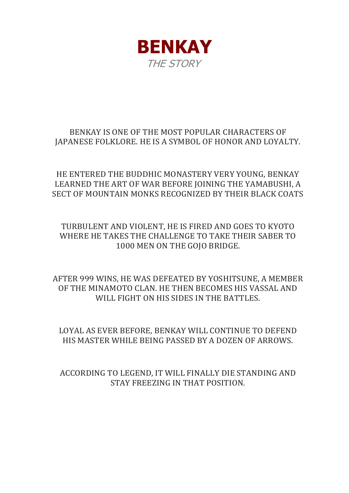

### BENKAY IS ONE OF THE MOST POPULAR CHARACTERS OF JAPANESE FOLKLORE. HE IS A SYMBOL OF HONOR AND LOYALTY.

HE ENTERED THE BUDDHIC MONASTERY VERY YOUNG, BENKAY LEARNED THE ART OF WAR BEFORE JOINING THE YAMABUSHI, A SECT OF MOUNTAIN MONKS RECOGNIZED BY THEIR BLACK COATS

TURBULENT AND VIOLENT, HE IS FIRED AND GOES TO KYOTO WHERE HE TAKES THE CHALLENGE TO TAKE THEIR SABER TO 1000 MEN ON THE GOJO BRIDGE.

AFTER 999 WINS, HE WAS DEFEATED BY YOSHITSUNE, A MEMBER OF THE MINAMOTO CLAN. HE THEN BECOMES HIS VASSAL AND WILL FIGHT ON HIS SIDES IN THE BATTLES.

LOYAL AS EVER BEFORE, BENKAY WILL CONTINUE TO DEFEND HIS MASTER WHILE BEING PASSED BY A DOZEN OF ARROWS.

ACCORDING TO LEGEND, IT WILL FINALLY DIE STANDING AND STAY FREEZING IN THAT POSITION.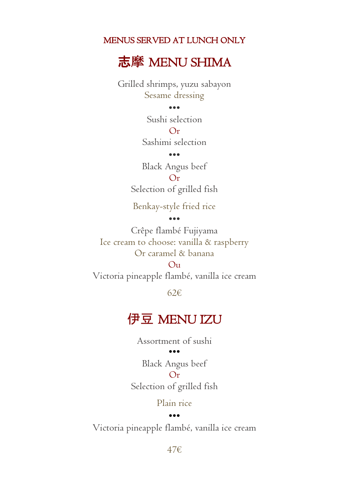### MENUS SERVED AT LUNCH ONLY

志摩 MENU SHIMA

Grilled shrimps, yuzu sabayon Sesame dressing

#### •••

Sushi selection  $Q_{\mathbf{r}}$ Sashimi selection

•••

Black Angus beef  $O<sub>r</sub>$ Selection of grilled fish

Benkay-style fried rice

•••

Crêpe flambé Fujiyama Ice cream to choose: vanilla & raspberry Or caramel & banana

 $\Omega_{11}$ Victoria pineapple flambé, vanilla ice cream

62€

# 伊豆 MENU IZU

Assortment of sushi

•••

Black Angus beef  $O_r$ Selection of grilled fish

Plain rice

#### •••

Victoria pineapple flambé, vanilla ice cream

47€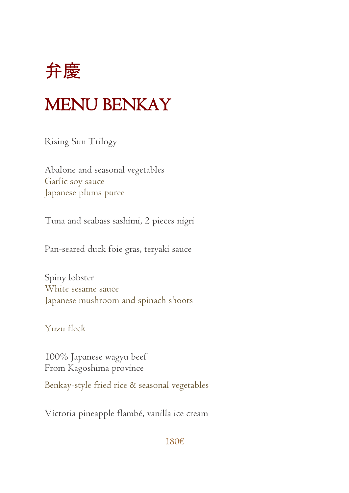

# MENU BENKAY

Rising Sun Trilogy

Abalone and seasonal vegetables Garlic soy sauce Japanese plums puree

Tuna and seabass sashimi, 2 pieces nigri

Pan-seared duck foie gras, teryaki sauce

Spiny lobster White sesame sauce Japanese mushroom and spinach shoots

Yuzu fleck

100% Japanese wagyu beef From Kagoshima province Benkay-style fried rice & seasonal vegetables

Victoria pineapple flambé, vanilla ice cream

#### 180€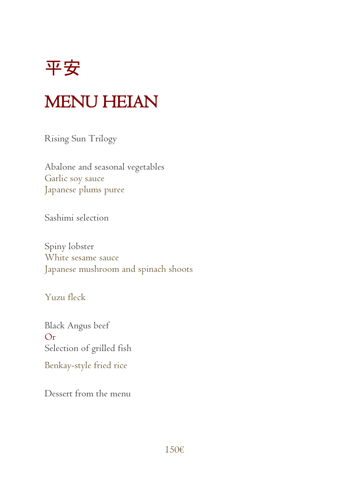平安

# MENU HEIAN

Rising Sun Trilogy

Abalone and seasonal vegetables Garlic soy sauce Japanese plums puree

Sashimi selection

Spiny lobster White sesame sauce Japanese mushroom and spinach shoots

Yuzu fleck

Black Angus beef  $O<sub>r</sub>$ Selection of grilled fish Benkay-style fried rice

Dessert from the menu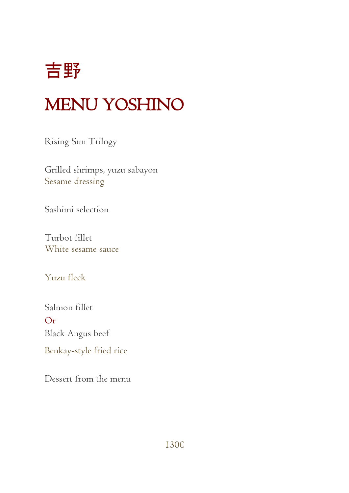

# MENU YOSHINO

Rising Sun Trilogy

Grilled shrimps, yuzu sabayon Sesame dressing

Sashimi selection

Turbot fillet White sesame sauce

Yuzu fleck

Salmon fillet Or Black Angus beef Benkay-style fried rice

Dessert from the menu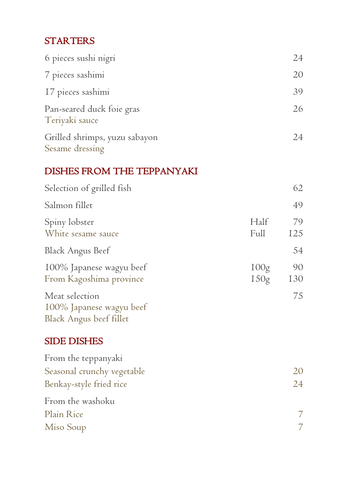## **STARTERS**

| 6 pieces sushi nigri                             | 24 |
|--------------------------------------------------|----|
| 7 pieces sashimi                                 | 20 |
| 17 pieces sashimi                                | 39 |
| Pan-seared duck foie gras<br>Teriyaki sauce      | 26 |
| Grilled shrimps, yuzu sabayon<br>Sesame dressing | 24 |

## DISHES FROM THE TEPPANYAKI

| Selection of grilled fish                                                    |              | 62               |
|------------------------------------------------------------------------------|--------------|------------------|
| Salmon fillet                                                                |              | 49               |
| Spiny lobster<br>White sesame sauce                                          | Half<br>Full | 79<br>125        |
| <b>Black Angus Beef</b>                                                      |              | 54               |
| 100% Japanese wagyu beef<br>From Kagoshima province                          | 100g<br>150g | 90<br><b>I30</b> |
| Meat selection<br>100% Japanese wagyu beef<br>Black Angus beef fillet        |              | 75               |
| <b>SIDE DISHES</b>                                                           |              |                  |
| From the teppanyaki<br>Seasonal crunchy vegetable<br>Benkay-style fried rice |              | 20<br>24         |
| From the washoku                                                             |              |                  |
| Plain Rice                                                                   |              | 7                |
| Miso Soup                                                                    |              | 7                |